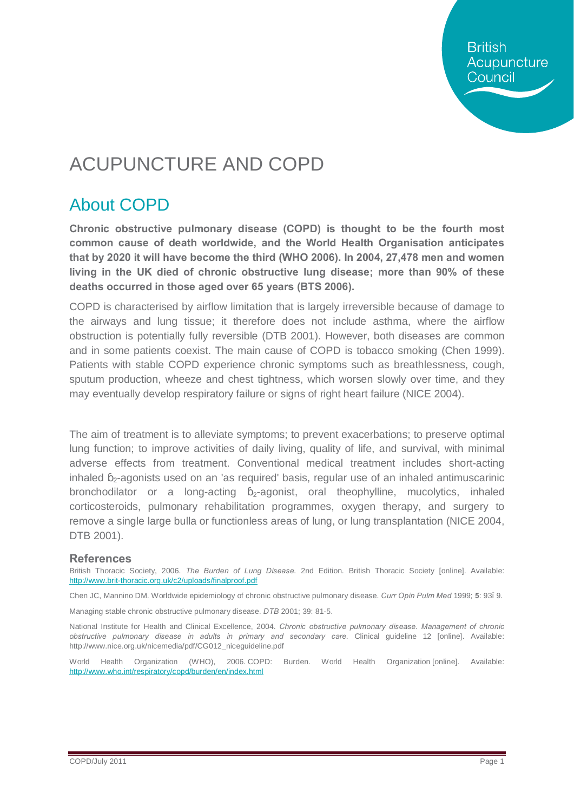**British** Acupuncture Council

## ACUPUNCTURE AND COPD

### About COPD

**Chronic obstructive pulmonary disease (COPD) is thought to be the fourth most common cause of death worldwide, and the World Health Organisation anticipates that by 2020 it will have become the third (WHO 2006). In 2004, 27,478 men and women living in the UK died of chronic obstructive lung disease; more than 90% of these deaths occurred in those aged over 65 years (BTS 2006).**

COPD is characterised by airflow limitation that is largely irreversible because of damage to the airways and lung tissue; it therefore does not include asthma, where the airflow obstruction is potentially fully reversible (DTB 2001). However, both diseases are common and in some patients coexist. The main cause of COPD is tobacco smoking (Chen 1999). Patients with stable COPD experience chronic symptoms such as breathlessness, cough, sputum production, wheeze and chest tightness, which worsen slowly over time, and they may eventually develop respiratory failure or signs of right heart failure (NICE 2004).

The aim of treatment is to alleviate symptoms; to prevent exacerbations; to preserve optimal lung function; to improve activities of daily living, quality of life, and survival, with minimal adverse effects from treatment. Conventional medical treatment includes short-acting inhaled  $_2$ -agonists used on an 'as required' basis, regular use of an inhaled antimuscarinic bronchodilator or a long-acting  $_{2}$ -agonist, oral theophylline, mucolytics, inhaled corticosteroids, pulmonary rehabilitation programmes, oxygen therapy, and surgery to remove a single large bulla or functionless areas of lung, or lung transplantation (NICE 2004, DTB 2001).

#### **References**

British Thoracic Society, 2006. *The Burden of Lung Disease*. 2nd Edition. British Thoracic Society [online]. Available: <http://www.brit-thoracic.org.uk/c2/uploads/finalproof.pdf>

Chen JC, Mannino DM. Worldwide epidemiology of chronic obstructive pulmonary disease. *Curr Opin Pulm Med* 1999; **5**: 93–9.

Managing stable chronic obstructive pulmonary disease. *DTB* 2001; 39: 81-5.

National Institute for Health and Clinical Excellence, 2004. *Chronic obstructive pulmonary disease. Management of chronic obstructive pulmonary disease in adults in primary and secondary care.* Clinical guideline 12 [online]. Available: http://www.nice.org.uk/nicemedia/pdf/CG012\_niceguideline.pdf

World Health Organization (WHO), 2006. COPD: Burden. World Health Organization [online]. Available: <http://www.who.int/respiratory/copd/burden/en/index.html>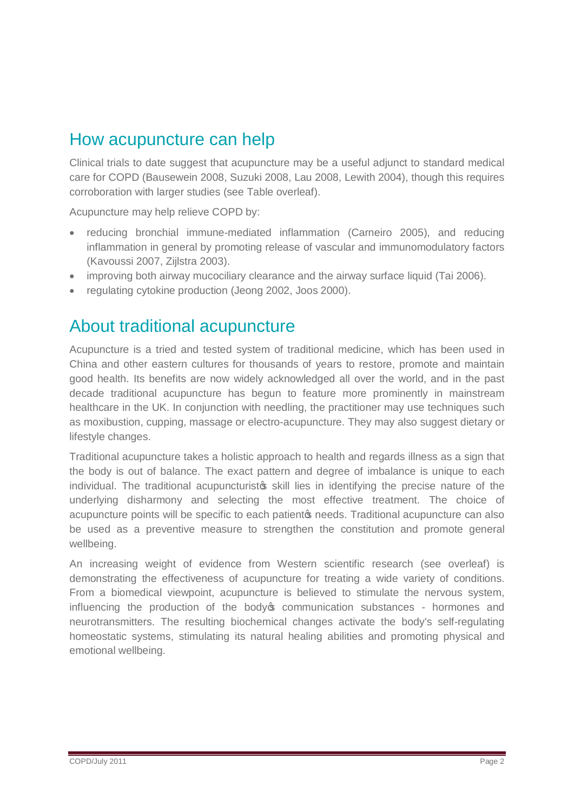### How acupuncture can help

Clinical trials to date suggest that acupuncture may be a useful adjunct to standard medical care for COPD (Bausewein 2008, Suzuki 2008, Lau 2008, Lewith 2004), though this requires corroboration with larger studies (see Table overleaf).

Acupuncture may help relieve COPD by:

- · reducing bronchial immune-mediated inflammation (Carneiro 2005), and reducing inflammation in general by promoting release of vascular and immunomodulatory factors (Kavoussi 2007, Zijlstra 2003).
- improving both airway mucociliary clearance and the airway surface liquid (Tai 2006).
- · regulating cytokine production (Jeong 2002, Joos 2000).

### About traditional acupuncture

Acupuncture is a tried and tested system of traditional medicine, which has been used in China and other eastern cultures for thousands of years to restore, promote and maintain good health. Its benefits are now widely acknowledged all over the world, and in the past decade traditional acupuncture has begun to feature more prominently in mainstream healthcare in the UK. In conjunction with needling, the practitioner may use techniques such as moxibustion, cupping, massage or electro-acupuncture. They may also suggest dietary or lifestyle changes.

Traditional acupuncture takes a holistic approach to health and regards illness as a sign that the body is out of balance. The exact pattern and degree of imbalance is unique to each individual. The traditional acupuncturists skill lies in identifying the precise nature of the underlying disharmony and selecting the most effective treatment. The choice of acupuncture points will be specific to each patient to needs. Traditional acupuncture can also be used as a preventive measure to strengthen the constitution and promote general wellbeing.

An increasing weight of evidence from Western scientific research (see overleaf) is demonstrating the effectiveness of acupuncture for treating a wide variety of conditions. From a biomedical viewpoint, acupuncture is believed to stimulate the nervous system, influencing the production of the body to communication substances - hormones and neurotransmitters. The resulting biochemical changes activate the body's self-regulating homeostatic systems, stimulating its natural healing abilities and promoting physical and emotional wellbeing.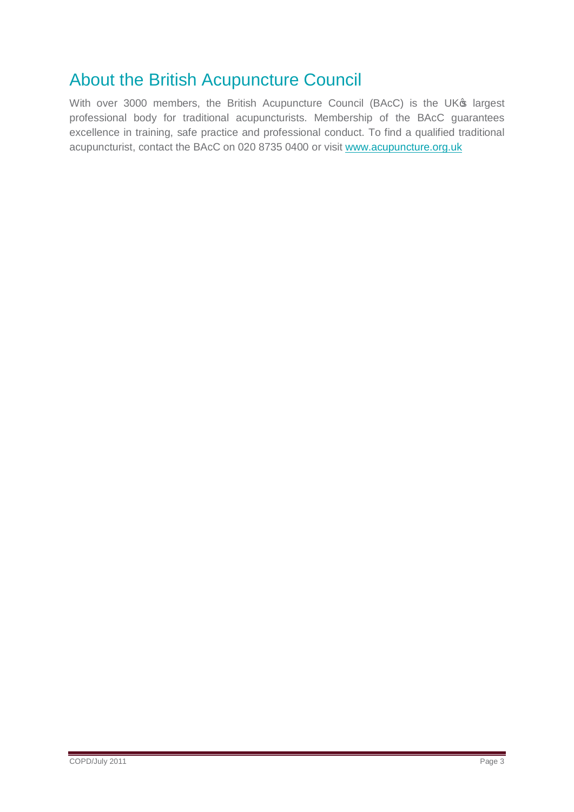### About the British Acupuncture Council

With over 3000 members, the British Acupuncture Council (BAcC) is the UK<sup>®</sup> largest professional body for traditional acupuncturists. Membership of the BAcC guarantees excellence in training, safe practice and professional conduct. To find a qualified traditional acupuncturist, contact the BAcC on 020 8735 0400 or visit [www.acupuncture.org.uk](http://www.acupuncture.org.uk/)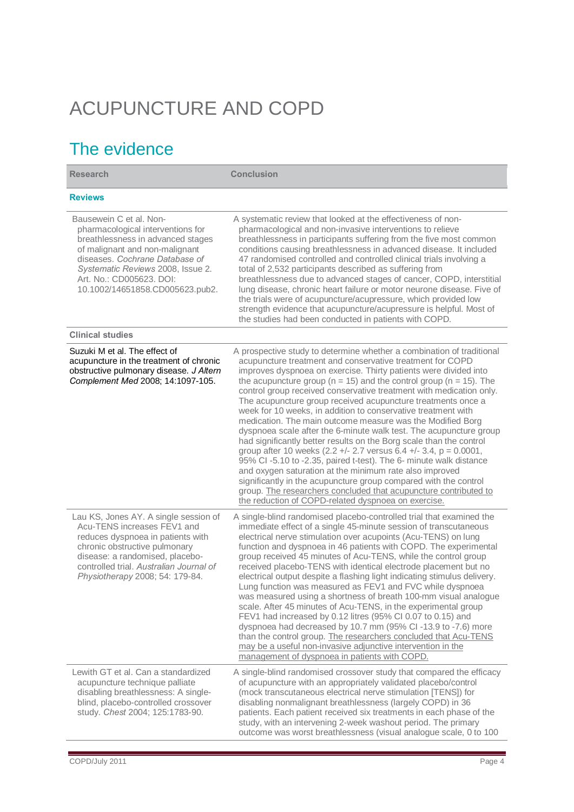# ACUPUNCTURE AND COPD

## The evidence

| <b>Research</b>                                                                                                                                                                                                                                                           | <b>Conclusion</b>                                                                                                                                                                                                                                                                                                                                                                                                                                                                                                                                                                                                                                                                                                                                                                                                                                                                                                                                                                                                                                                                                              |
|---------------------------------------------------------------------------------------------------------------------------------------------------------------------------------------------------------------------------------------------------------------------------|----------------------------------------------------------------------------------------------------------------------------------------------------------------------------------------------------------------------------------------------------------------------------------------------------------------------------------------------------------------------------------------------------------------------------------------------------------------------------------------------------------------------------------------------------------------------------------------------------------------------------------------------------------------------------------------------------------------------------------------------------------------------------------------------------------------------------------------------------------------------------------------------------------------------------------------------------------------------------------------------------------------------------------------------------------------------------------------------------------------|
| <b>Reviews</b>                                                                                                                                                                                                                                                            |                                                                                                                                                                                                                                                                                                                                                                                                                                                                                                                                                                                                                                                                                                                                                                                                                                                                                                                                                                                                                                                                                                                |
| Bausewein C et al. Non-<br>pharmacological interventions for<br>breathlessness in advanced stages<br>of malignant and non-malignant<br>diseases. Cochrane Database of<br>Systematic Reviews 2008, Issue 2.<br>Art. No.: CD005623. DOI:<br>10.1002/14651858.CD005623.pub2. | A systematic review that looked at the effectiveness of non-<br>pharmacological and non-invasive interventions to relieve<br>breathlessness in participants suffering from the five most common<br>conditions causing breathlessness in advanced disease. It included<br>47 randomised controlled and controlled clinical trials involving a<br>total of 2,532 participants described as suffering from<br>breathlessness due to advanced stages of cancer, COPD, interstitial<br>lung disease, chronic heart failure or motor neurone disease. Five of<br>the trials were of acupuncture/acupressure, which provided low<br>strength evidence that acupuncture/acupressure is helpful. Most of<br>the studies had been conducted in patients with COPD.                                                                                                                                                                                                                                                                                                                                                       |
| <b>Clinical studies</b>                                                                                                                                                                                                                                                   |                                                                                                                                                                                                                                                                                                                                                                                                                                                                                                                                                                                                                                                                                                                                                                                                                                                                                                                                                                                                                                                                                                                |
| Suzuki M et al. The effect of<br>acupuncture in the treatment of chronic<br>obstructive pulmonary disease. J Altern<br>Complement Med 2008; 14:1097-105.                                                                                                                  | A prospective study to determine whether a combination of traditional<br>acupuncture treatment and conservative treatment for COPD<br>improves dyspnoea on exercise. Thirty patients were divided into<br>the acupuncture group ( $n = 15$ ) and the control group ( $n = 15$ ). The<br>control group received conservative treatment with medication only.<br>The acupuncture group received acupuncture treatments once a<br>week for 10 weeks, in addition to conservative treatment with<br>medication. The main outcome measure was the Modified Borg<br>dyspnoea scale after the 6-minute walk test. The acupuncture group<br>had significantly better results on the Borg scale than the control<br>group after 10 weeks (2.2 +/- 2.7 versus 6.4 +/- 3.4, $p = 0.0001$ ,<br>95% CI-5.10 to -2.35, paired t-test). The 6- minute walk distance<br>and oxygen saturation at the minimum rate also improved<br>significantly in the acupuncture group compared with the control<br>group. The researchers concluded that acupuncture contributed to<br>the reduction of COPD-related dyspnoea on exercise. |
| Lau KS, Jones AY. A single session of<br>Acu-TENS increases FEV1 and<br>reduces dyspnoea in patients with<br>chronic obstructive pulmonary<br>disease: a randomised, placebo-<br>controlled trial. Australian Journal of<br>Physiotherapy 2008; 54: 179-84.               | A single-blind randomised placebo-controlled trial that examined the<br>immediate effect of a single 45-minute session of transcutaneous<br>electrical nerve stimulation over acupoints (Acu-TENS) on lung<br>function and dyspnoea in 46 patients with COPD. The experimental<br>group received 45 minutes of Acu-TENS, while the control group<br>received placebo-TENS with identical electrode placement but no<br>electrical output despite a flashing light indicating stimulus delivery.<br>Lung function was measured as FEV1 and FVC while dyspnoea<br>was measured using a shortness of breath 100-mm visual analogue<br>scale. After 45 minutes of Acu-TENS, in the experimental group<br>FEV1 had increased by 0.12 litres (95% CI 0.07 to 0.15) and<br>dyspnoea had decreased by 10.7 mm (95% CI-13.9 to -7.6) more<br>than the control group. The researchers concluded that Acu-TENS<br>may be a useful non-invasive adjunctive intervention in the<br>management of dyspnoea in patients with COPD.                                                                                            |
| Lewith GT et al. Can a standardized<br>acupuncture technique palliate<br>disabling breathlessness: A single-<br>blind, placebo-controlled crossover<br>study. Chest 2004; 125:1783-90.                                                                                    | A single-blind randomised crossover study that compared the efficacy<br>of acupuncture with an appropriately validated placebo/control<br>(mock transcutaneous electrical nerve stimulation [TENS]) for<br>disabling nonmalignant breathlessness (largely COPD) in 36<br>patients. Each patient received six treatments in each phase of the<br>study, with an intervening 2-week washout period. The primary<br>outcome was worst breathlessness (visual analogue scale, 0 to 100                                                                                                                                                                                                                                                                                                                                                                                                                                                                                                                                                                                                                             |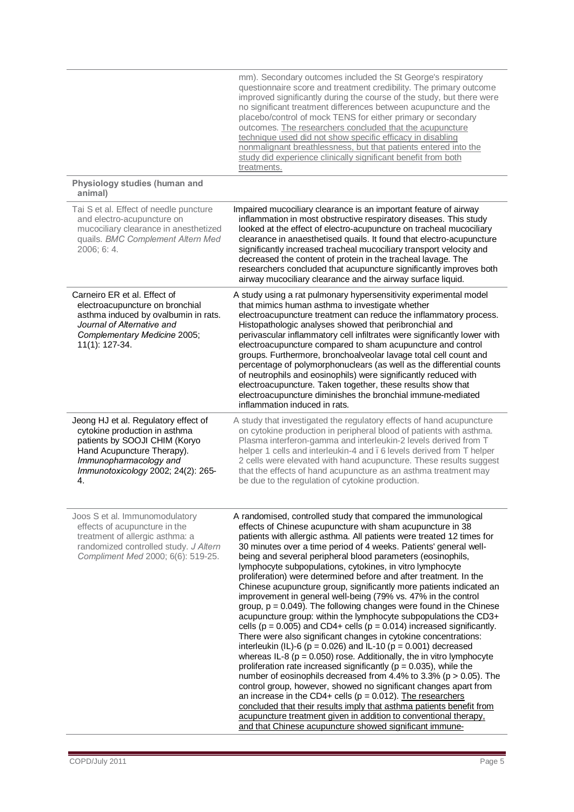|                                                                                                                                                                                                            | mm). Secondary outcomes included the St George's respiratory<br>questionnaire score and treatment credibility. The primary outcome<br>improved significantly during the course of the study, but there were<br>no significant treatment differences between acupuncture and the<br>placebo/control of mock TENS for either primary or secondary<br>outcomes. The researchers concluded that the acupuncture<br>technique used did not show specific efficacy in disabling<br>nonmalignant breathlessness, but that patients entered into the<br>study did experience clinically significant benefit from both<br>treatments.                                                                                                                                                                                                                                                                                                                                                                                                                                                                                                                                                                                                                                                                                                                                                                                                                                                                                                                                              |
|------------------------------------------------------------------------------------------------------------------------------------------------------------------------------------------------------------|---------------------------------------------------------------------------------------------------------------------------------------------------------------------------------------------------------------------------------------------------------------------------------------------------------------------------------------------------------------------------------------------------------------------------------------------------------------------------------------------------------------------------------------------------------------------------------------------------------------------------------------------------------------------------------------------------------------------------------------------------------------------------------------------------------------------------------------------------------------------------------------------------------------------------------------------------------------------------------------------------------------------------------------------------------------------------------------------------------------------------------------------------------------------------------------------------------------------------------------------------------------------------------------------------------------------------------------------------------------------------------------------------------------------------------------------------------------------------------------------------------------------------------------------------------------------------|
| Physiology studies (human and<br>animal)                                                                                                                                                                   |                                                                                                                                                                                                                                                                                                                                                                                                                                                                                                                                                                                                                                                                                                                                                                                                                                                                                                                                                                                                                                                                                                                                                                                                                                                                                                                                                                                                                                                                                                                                                                           |
| Tai S et al. Effect of needle puncture<br>and electro-acupuncture on<br>mucociliary clearance in anesthetized<br>quails. BMC Complement Altern Med<br>2006; 6: 4.                                          | Impaired mucociliary clearance is an important feature of airway<br>inflammation in most obstructive respiratory diseases. This study<br>looked at the effect of electro-acupuncture on tracheal mucociliary<br>clearance in anaesthetised quails. It found that electro-acupuncture<br>significantly increased tracheal mucociliary transport velocity and<br>decreased the content of protein in the tracheal lavage. The<br>researchers concluded that acupuncture significantly improves both<br>airway mucociliary clearance and the airway surface liquid.                                                                                                                                                                                                                                                                                                                                                                                                                                                                                                                                                                                                                                                                                                                                                                                                                                                                                                                                                                                                          |
| Carneiro ER et al. Effect of<br>electroacupuncture on bronchial<br>asthma induced by ovalbumin in rats.<br>Journal of Alternative and<br>Complementary Medicine 2005;<br>11(1): 127-34.                    | A study using a rat pulmonary hypersensitivity experimental model<br>that mimics human asthma to investigate whether<br>electroacupuncture treatment can reduce the inflammatory process.<br>Histopathologic analyses showed that peribronchial and<br>perivascular inflammatory cell infiltrates were significantly lower with<br>electroacupuncture compared to sham acupuncture and control<br>groups. Furthermore, bronchoalveolar lavage total cell count and<br>percentage of polymorphonuclears (as well as the differential counts<br>of neutrophils and eosinophils) were significantly reduced with<br>electroacupuncture. Taken together, these results show that<br>electroacupuncture diminishes the bronchial immune-mediated<br>inflammation induced in rats.                                                                                                                                                                                                                                                                                                                                                                                                                                                                                                                                                                                                                                                                                                                                                                                              |
| Jeong HJ et al. Regulatory effect of<br>cytokine production in asthma<br>patients by SOOJI CHIM (Koryo<br>Hand Acupuncture Therapy).<br>Immunopharmacology and<br>Immunotoxicology 2002; 24(2): 265-<br>4. | A study that investigated the regulatory effects of hand acupuncture<br>on cytokine production in peripheral blood of patients with asthma.<br>Plasma interferon-gamma and interleukin-2 levels derived from T<br>helper 1 cells and interleukin-4 and . 6 levels derived from T helper<br>2 cells were elevated with hand acupuncture. These results suggest<br>that the effects of hand acupuncture as an asthma treatment may<br>be due to the regulation of cytokine production.                                                                                                                                                                                                                                                                                                                                                                                                                                                                                                                                                                                                                                                                                                                                                                                                                                                                                                                                                                                                                                                                                      |
| Joos S et al. Immunomodulatory<br>effects of acupuncture in the<br>treatment of allergic asthma: a<br>randomized controlled study. J Altern<br>Compliment Med 2000; 6(6): 519-25.                          | A randomised, controlled study that compared the immunological<br>effects of Chinese acupuncture with sham acupuncture in 38<br>patients with allergic asthma. All patients were treated 12 times for<br>30 minutes over a time period of 4 weeks. Patients' general well-<br>being and several peripheral blood parameters (eosinophils,<br>lymphocyte subpopulations, cytokines, in vitro lymphocyte<br>proliferation) were determined before and after treatment. In the<br>Chinese acupuncture group, significantly more patients indicated an<br>improvement in general well-being (79% vs. 47% in the control<br>group, $p = 0.049$ ). The following changes were found in the Chinese<br>acupuncture group: within the lymphocyte subpopulations the CD3+<br>cells ( $p = 0.005$ ) and CD4+ cells ( $p = 0.014$ ) increased significantly.<br>There were also significant changes in cytokine concentrations:<br>interleukin (IL)-6 ( $p = 0.026$ ) and IL-10 ( $p = 0.001$ ) decreased<br>whereas IL-8 ( $p = 0.050$ ) rose. Additionally, the in vitro lymphocyte<br>proliferation rate increased significantly ( $p = 0.035$ ), while the<br>number of eosinophils decreased from 4.4% to 3.3% ( $p > 0.05$ ). The<br>control group, however, showed no significant changes apart from<br>an increase in the CD4+ cells ( $p = 0.012$ ). The researchers<br>concluded that their results imply that asthma patients benefit from<br>acupuncture treatment given in addition to conventional therapy,<br>and that Chinese acupuncture showed significant immune- |